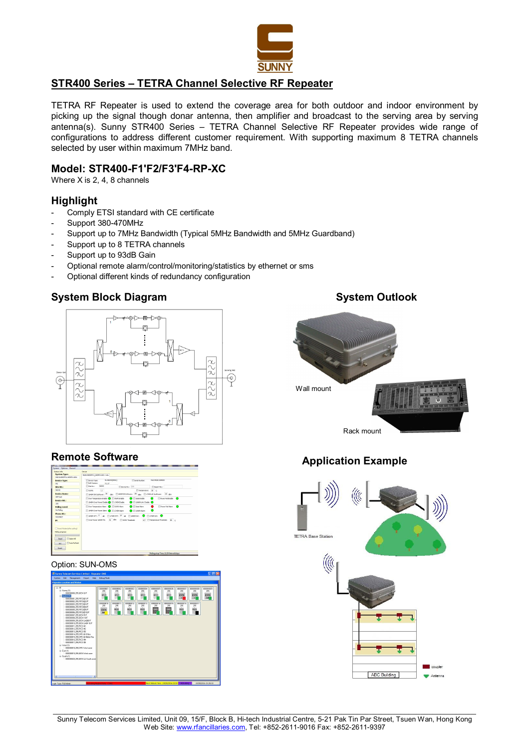

# **STR400 Series – TETRA Channel Selective RF Repeater**

TETRA RF Repeater is used to extend the coverage area for both outdoor and indoor environment by picking up the signal though donar antenna, then amplifier and broadcast to the serving area by serving antenna(s). Sunny STR400 Series – TETRA Channel Selective RF Repeater provides wide range of configurations to address different customer requirement. With supporting maximum 8 TETRA channels selected by user within maximum 7MHz band.

## **Model: STR400-F1'F2/F3'F4-RP-XC**

Where X is 2, 4, 8 channels

# **Highlight**

- Comply ETSI standard with CE certificate
- Support 380-470MHz
- Support up to 7MHz Bandwidth (Typical 5MHz Bandwidth and 5MHz Guardband)
- Support up to 8 TETRA channels
- Support up to 93dB Gain
- Optional remote alarm/control/monitoring/statistics by ethernet or sms
- Optional different kinds of redundancy configuration



# **Remote Software**



### Option: SUN-OMS

| F E<br>Sunny Telecom Services Limited - Repeater OMS                                                                                                                                                                                                                                                                                                                                                                                                                                                                                                                                                                                                                          |                                                                                                                                                                                                                                                                                                                                                                                                                                                                                                                                               |  |  |  |  |
|-------------------------------------------------------------------------------------------------------------------------------------------------------------------------------------------------------------------------------------------------------------------------------------------------------------------------------------------------------------------------------------------------------------------------------------------------------------------------------------------------------------------------------------------------------------------------------------------------------------------------------------------------------------------------------|-----------------------------------------------------------------------------------------------------------------------------------------------------------------------------------------------------------------------------------------------------------------------------------------------------------------------------------------------------------------------------------------------------------------------------------------------------------------------------------------------------------------------------------------------|--|--|--|--|
| Management Report Help<br>System Edit                                                                                                                                                                                                                                                                                                                                                                                                                                                                                                                                                                                                                                         | Debug Mode                                                                                                                                                                                                                                                                                                                                                                                                                                                                                                                                    |  |  |  |  |
| <b>Repeater Location and Status</b>                                                                                                                                                                                                                                                                                                                                                                                                                                                                                                                                                                                                                                           |                                                                                                                                                                                                                                                                                                                                                                                                                                                                                                                                               |  |  |  |  |
| $\otimes$ AI<br>G Surre ITI<br>000000001255.DEN G/F<br>@ Norfs [17]<br>00000001.255 RP2381/F<br>FEDERATOR 255 RP23802/E<br>00000003255 RP2383/F<br>00000004 255 RP2364/F<br>00000005.255 RP2306/F<br>00000006.255 RP23@10/F<br>0000007255.0EN.B/E<br>000000325 0EN 105<br>00000003.255.DEN LA@B/F<br>00000010.255.DEN LA/R 10/F<br>00000011255 RC0 #1<br>00000012.255 PICO #2<br>00000013.255.PICO #3<br>00000014.255.DPD @ Office<br>00000015.255 DPD @ Meter Rm<br>00000016.255 PICO #4<br>00000017.255 PICO #5<br>G-Wed (1)<br>DDDDDDIS 255 D.PD West zone<br>G East (1)<br>000000019.255.DEN West zone<br>G Sputh ITI<br>00000020.255.0 EN LA South zone<br>$\rightarrow$ | commons.<br>mmmm<br>mmmm<br>commons.<br>romme.<br>mmms<br>recommon<br>romma<br>noncome<br>255<br>255<br>285<br>255<br>255<br>255<br>255<br>255<br>295<br>8923<br>RP23<br>RP23<br>RP23<br>RP23<br>RP23<br><b>IDEN</b><br><b>IDEN</b><br><b>IDEN</b><br><b>BA</b><br>×<br>m<br>000000011<br>00000013<br>000000017<br>00000012<br>00000014<br>00000015<br>000000010<br>000000016<br>255<br>255<br>255<br>255<br>255<br>265<br>295<br>255<br>PICO<br>PKO<br>$\frac{980}{2}$<br>PECO<br>0HD<br>PICO<br>PECO<br><b>IDEN</b><br>₹<br><b>Int</b><br>٠ |  |  |  |  |